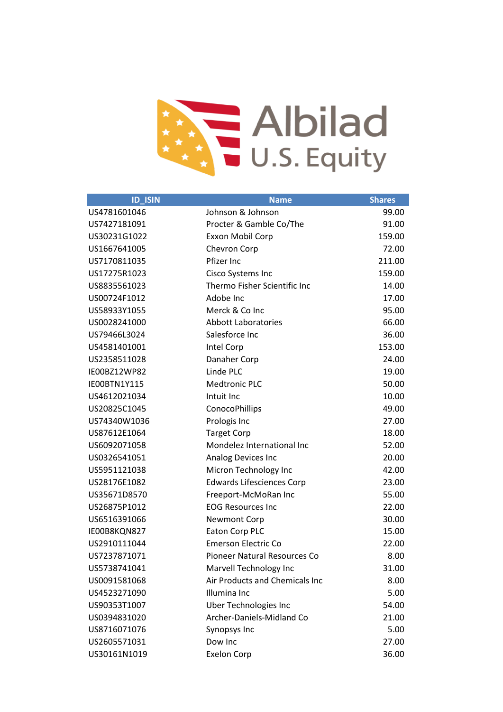

| <b>ID_ISIN</b> | <b>Name</b>                         | <b>Shares</b> |
|----------------|-------------------------------------|---------------|
| US4781601046   | Johnson & Johnson                   | 99.00         |
| US7427181091   | Procter & Gamble Co/The             | 91.00         |
| US30231G1022   | Exxon Mobil Corp                    | 159.00        |
| US1667641005   | Chevron Corp                        | 72.00         |
| US7170811035   | Pfizer Inc                          | 211.00        |
| US17275R1023   | Cisco Systems Inc                   | 159.00        |
| US8835561023   | Thermo Fisher Scientific Inc        | 14.00         |
| US00724F1012   | Adobe Inc                           | 17.00         |
| US58933Y1055   | Merck & Co Inc                      | 95.00         |
| US0028241000   | <b>Abbott Laboratories</b>          | 66.00         |
| US79466L3024   | Salesforce Inc                      | 36.00         |
| US4581401001   | Intel Corp                          | 153.00        |
| US2358511028   | Danaher Corp                        | 24.00         |
| IE00BZ12WP82   | Linde PLC                           | 19.00         |
| IE00BTN1Y115   | <b>Medtronic PLC</b>                | 50.00         |
| US4612021034   | Intuit Inc                          | 10.00         |
| US20825C1045   | ConocoPhillips                      | 49.00         |
| US74340W1036   | Prologis Inc                        | 27.00         |
| US87612E1064   | <b>Target Corp</b>                  | 18.00         |
| US6092071058   | Mondelez International Inc          | 52.00         |
| US0326541051   | Analog Devices Inc                  | 20.00         |
| US5951121038   | Micron Technology Inc               | 42.00         |
| US28176E1082   | <b>Edwards Lifesciences Corp</b>    | 23.00         |
| US35671D8570   | Freeport-McMoRan Inc                | 55.00         |
| US26875P1012   | <b>EOG Resources Inc</b>            | 22.00         |
| US6516391066   | <b>Newmont Corp</b>                 | 30.00         |
| IE00B8KQN827   | Eaton Corp PLC                      | 15.00         |
| US2910111044   | <b>Emerson Electric Co</b>          | 22.00         |
| US7237871071   | <b>Pioneer Natural Resources Co</b> | 8.00          |
| US5738741041   | Marvell Technology Inc              | 31.00         |
| US0091581068   | Air Products and Chemicals Inc      | 8.00          |
| US4523271090   | Illumina Inc                        | 5.00          |
| US90353T1007   | <b>Uber Technologies Inc</b>        | 54.00         |
| US0394831020   | Archer-Daniels-Midland Co           | 21.00         |
| US8716071076   | Synopsys Inc                        | 5.00          |
| US2605571031   | Dow Inc                             | 27.00         |
| US30161N1019   | <b>Exelon Corp</b>                  | 36.00         |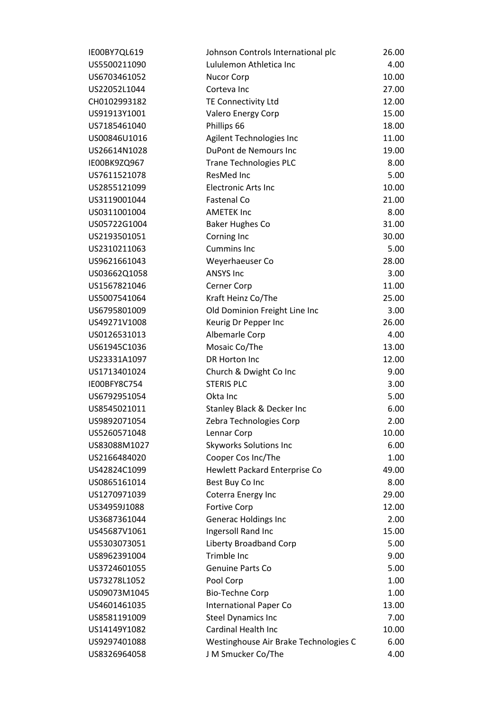| IE00BY7QL619 | Johnson Controls International plc    | 26.00 |
|--------------|---------------------------------------|-------|
| US5500211090 | Lululemon Athletica Inc               | 4.00  |
| US6703461052 | <b>Nucor Corp</b>                     | 10.00 |
| US22052L1044 | Corteva Inc                           | 27.00 |
| CH0102993182 | TE Connectivity Ltd                   | 12.00 |
| US91913Y1001 | Valero Energy Corp                    | 15.00 |
| US7185461040 | Phillips 66                           | 18.00 |
| US00846U1016 | Agilent Technologies Inc              | 11.00 |
| US26614N1028 | DuPont de Nemours Inc                 | 19.00 |
| IE00BK9ZQ967 | <b>Trane Technologies PLC</b>         | 8.00  |
| US7611521078 | ResMed Inc                            | 5.00  |
| US2855121099 | <b>Electronic Arts Inc</b>            | 10.00 |
| US3119001044 | <b>Fastenal Co</b>                    | 21.00 |
| US0311001004 | <b>AMETEK Inc</b>                     | 8.00  |
| US05722G1004 | <b>Baker Hughes Co</b>                | 31.00 |
| US2193501051 | Corning Inc                           | 30.00 |
| US2310211063 | <b>Cummins Inc</b>                    | 5.00  |
| US9621661043 | Weyerhaeuser Co                       | 28.00 |
| US03662Q1058 | <b>ANSYS Inc</b>                      | 3.00  |
| US1567821046 | Cerner Corp                           | 11.00 |
| US5007541064 | Kraft Heinz Co/The                    | 25.00 |
| US6795801009 | Old Dominion Freight Line Inc         | 3.00  |
| US49271V1008 | Keurig Dr Pepper Inc                  | 26.00 |
| US0126531013 | Albemarle Corp                        | 4.00  |
| US61945C1036 | Mosaic Co/The                         | 13.00 |
| US23331A1097 | DR Horton Inc                         | 12.00 |
| US1713401024 | Church & Dwight Co Inc                | 9.00  |
| IE00BFY8C754 | <b>STERIS PLC</b>                     | 3.00  |
| US6792951054 | Okta Inc                              | 5.00  |
| US8545021011 | Stanley Black & Decker Inc            | 6.00  |
| US9892071054 | Zebra Technologies Corp               | 2.00  |
| US5260571048 | Lennar Corp                           | 10.00 |
| US83088M1027 | <b>Skyworks Solutions Inc</b>         | 6.00  |
| US2166484020 | Cooper Cos Inc/The                    | 1.00  |
| US42824C1099 | Hewlett Packard Enterprise Co         | 49.00 |
| US0865161014 | Best Buy Co Inc                       | 8.00  |
| US1270971039 | Coterra Energy Inc                    | 29.00 |
| US34959J1088 | <b>Fortive Corp</b>                   | 12.00 |
| US3687361044 | Generac Holdings Inc                  | 2.00  |
| US45687V1061 | Ingersoll Rand Inc                    | 15.00 |
| US5303073051 | Liberty Broadband Corp                | 5.00  |
| US8962391004 | Trimble Inc                           | 9.00  |
| US3724601055 | Genuine Parts Co                      | 5.00  |
| US73278L1052 | Pool Corp                             | 1.00  |
| US09073M1045 | <b>Bio-Techne Corp</b>                | 1.00  |
| US4601461035 | <b>International Paper Co</b>         | 13.00 |
| US8581191009 | <b>Steel Dynamics Inc</b>             | 7.00  |
| US14149Y1082 | Cardinal Health Inc                   | 10.00 |
| US9297401088 | Westinghouse Air Brake Technologies C | 6.00  |
| US8326964058 | J M Smucker Co/The                    | 4.00  |